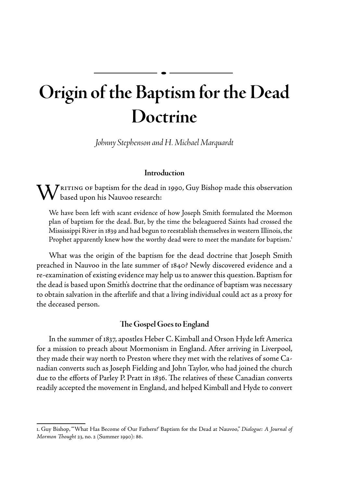# **Origin of the Baptism for the Dead Doctrine**

*Johnny Stephenson and H. Michael Marquardt*

# **Introduction**

 $\sum$   $\sum$   $R$ ITING OF baptism for the dead in 1990, Guy Bishop made this observation based upon his Nauvoo research:

We have been left with scant evidence of how Joseph Smith formulated the Mormon plan of baptism for the dead. But, by the time the beleaguered Saints had crossed the Mississippi River in 1839 and had begun to reestablish themselves in western Illinois, the Prophet apparently knew how the worthy dead were to meet the mandate for baptism.<sup>1</sup>

What was the origin of the baptism for the dead doctrine that Joseph Smith preached in Nauvoo in the late summer of 1840? Newly discovered evidence and a re-examination of existing evidence may help us to answer this question. Baptism for the dead is based upon Smith's doctrine that the ordinance of baptism was necessary to obtain salvation in the afterlife and that a living individual could act as a proxy for the deceased person.

# **The Gospel Goes to England**

In the summer of 1837, apostles Heber C. Kimball and Orson Hyde left America for a mission to preach about Mormonism in England. After arriving in Liverpool, they made their way north to Preston where they met with the relatives of some Canadian converts such as Joseph Fielding and John Taylor, who had joined the church due to the efforts of Parley P. Pratt in 1836. The relatives of these Canadian converts readily accepted the movement in England, and helped Kimball and Hyde to convert

<sup>1.</sup> Guy Bishop, "'What Has Become of Our Fathers?' Baptism for the Dead at Nauvoo," *Dialogue: A Journal of Mormon Thought* 23, no. 2 (Summer 1990): 86.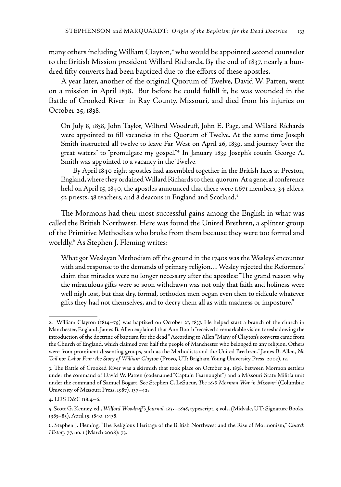many others including William Clayton,<sup>2</sup> who would be appointed second counselor to the British Mission president Willard Richards. By the end of 1837, nearly a hundred fifty converts had been baptized due to the efforts of these apostles.

A year later, another of the original Quorum of Twelve, David W. Patten, went on a mission in April 1838. But before he could fulfill it, he was wounded in the Battle of Crooked River<sup>3</sup> in Ray County, Missouri, and died from his injuries on October 25, 1838.

On July 8, 1838, John Taylor, Wilford Woodruff, John E. Page, and Willard Richards were appointed to fill vacancies in the Quorum of Twelve. At the same time Joseph Smith instructed all twelve to leave Far West on April 26, 1839, and journey "over the great waters" to "promulgate my gospel."4 In January 1839 Joseph's cousin George A. Smith was appointed to a vacancy in the Twelve.

 By April 1840 eight apostles had assembled together in the British Isles at Preston, England, where they ordained Willard Richards to their quorum. At a general conference held on April 15, 1840, the apostles announced that there were 1,671 members, 34 elders, 52 priests, 38 teachers, and 8 deacons in England and Scotland.5

The Mormons had their most successful gains among the English in what was called the British Northwest. Here was found the United Brethren, a splinter group of the Primitive Methodists who broke from them because they were too formal and worldly.6 As Stephen J. Fleming writes:

What got Wesleyan Methodism off the ground in the 1740s was the Wesleys' encounter with and response to the demands of primary religion… Wesley rejected the Reformers' claim that miracles were no longer necessary after the apostles: "The grand reason why the miraculous gifts were so soon withdrawn was not only that faith and holiness were well nigh lost, but that dry, formal, orthodox men began even then to ridicule whatever gifts they had not themselves, and to decry them all as with madness or imposture."

<sup>2.</sup> William Clayton (1814–79) was baptized on October 21, 1837. He helped start a branch of the church in Manchester, England. James B. Allen explained that Ann Booth "received a remarkable vision foreshadowing the introduction of the doctrine of baptism for the dead." According to Allen "Many of Clayton's converts came from the Church of England, which claimed over half the people of Manchester who belonged to any religion. Others were from prominent dissenting groups, such as the Methodists and the United Brethren." James B. Allen, *No Toil nor Labor Fear: the Story of William Clayton* (Provo, UT: Brigham Young University Press, 2002), 12.

<sup>3.</sup> The Battle of Crooked River was a skirmish that took place on October 24, 1838, between Mormon settlers under the command of David W. Patten (codenamed "Captain Fearnought") and a Missouri State Militia unit under the command of Samuel Bogart. See Stephen C. LeSueur, *The 1838 Mormon War in Missouri* (Columbia: University of Missouri Press, 1987), 137–42**.**

<sup>4.</sup> LDS D&C 118:4–6.

<sup>5.</sup> Scott G. Kenney, ed., *Wilford Woodruff's Journal*, *1833–1898*, typescript, 9 vols. (Midvale, UT: Signature Books, 1983–85), April 15, 1840, 1:438.

<sup>6.</sup> Stephen J. Fleming, "The Religious Heritage of the British Northwest and the Rise of Mormonism," *Church History* 77, no. 1 (March 2008): 73.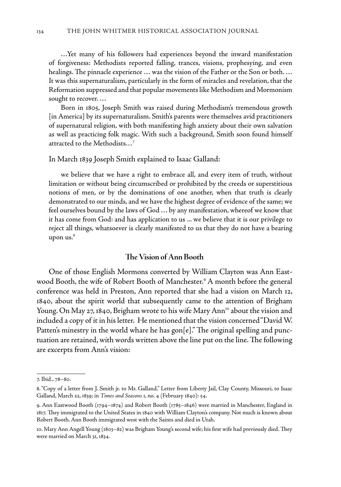…Yet many of his followers had experiences beyond the inward manifestation of forgiveness: Methodists reported falling, trances, visions, prophesying, and even healings. The pinnacle experience … was the vision of the Father or the Son or both. … It was this supernaturalism, particularly in the form of miracles and revelation, that the Reformation suppressed and that popular movements like Methodism and Mormonism sought to recover. …

 Born in 1805, Joseph Smith was raised during Methodism's tremendous growth [in America] by its supernaturalism. Smith's parents were themselves avid practitioners of supernatural religion, with both manifesting high anxiety about their own salvation as well as practicing folk magic. With such a background, Smith soon found himself attracted to the Methodists…7

In March 1839 Joseph Smith explained to Isaac Galland:

 we believe that we have a right to embrace all, and every item of truth, without limitation or without being circumscribed or prohibited by the creeds or superstitious notions of men, or by the dominations of one another, when that truth is clearly demonstrated to our minds, and we have the highest degree of evidence of the same; we feel ourselves bound by the laws of God … by any manifestation, whereof we know that it has come from God: and has application to us ... we believe that it is our privilege to reject all things, whatsoever is clearly manifested to us that they do not have a bearing upon us.<sup>8</sup>

## **The Vision of Ann Booth**

One of those English Mormons converted by William Clayton was Ann Eastwood Booth, the wife of Robert Booth of Manchester.<sup>9</sup> A month before the general conference was held in Preston, Ann reported that she had a vision on March 12, 1840, about the spirit world that subsequently came to the attention of Brigham Young. On May 27, 1840, Brigham wrote to his wife Mary Ann<sup>10</sup> about the vision and included a copy of it in his letter. He mentioned that the vision concerned "David W. Patten's minestry in the world whare he has gon[e]." The original spelling and punctuation are retained, with words written above the line put on the line. The following are excerpts from Ann's vision:

<sup>7.</sup> Ibid., 78–80.

<sup>8. &</sup>quot;Copy of a letter from J. Smith jr. to Mr. Galland," Letter from Liberty Jail, Clay County, Missouri, to Isaac Galland, March 22, 1839; in *Times and Seasons* 1, no. 4 (February 1840): 54.

<sup>9.</sup> Ann Eastwood Booth (1794–1874) and Robert Booth (1785–1846) were married in Manchester, England in 1817. They immigrated to the United States in 1840 with William Clayton's company. Not much is known about Robert Booth. Ann Booth immigrated west with the Saints and died in Utah.

<sup>10.</sup> Mary Ann Angell Young (1803–82) was Brigham Young's second wife; his first wife had previously died. They were married on March 31, 1834.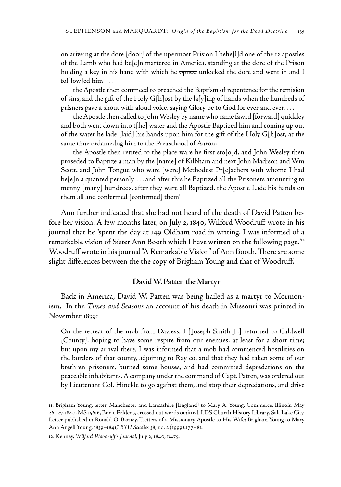on ariveing at the dore [door] of the upermost Prision I behe[l]d one of the 12 apostles of the Lamb who had be[e]n martered in America, standing at the dore of the Prison holding a key in his hand with which he opned unlocked the dore and went in and I fol[low]ed him. . . .

 the Apostle then commecd to preached the Baptism of repentence for the remision of sins, and the gift of the Holy G[h]ost by the la[y]ing of hands when the hundreds of prisners gave a shout with aloud voice, saying Glory be to God for ever and ever. . . .

 the Apostle then called to John Wesley by name who came fawrd [forward] quickley and both went down into t[he] water and the Apostle Baptized him and coming up out of the water he lade [laid] his hands upon him for the gift of the Holy G[h]ost, at the same time ordainedng him to the Preasthood of Aaron;

 the Apostle then retired to the place ware he first sto[o]d. and John Wesley then proseded to Baptize a man by the [name] of Kilbham and next John Madison and Wm Scott. and John Tongue who ware [were] Methodest Pr[e]achers with whome I had be[e]n a quanted personly. . . . and after this he Baptized all the Prisoners amounting to menny [many] hundreds. after they ware all Baptized. the Apostle Lade his hands on them all and confermed [confirmed] them $\mathrm{I}^{\mathrm{n}}$ 

Ann further indicated that she had not heard of the death of David Patten before her vision. A few months later, on July 2, 1840, Wilford Woodruff wrote in his journal that he "spent the day at 149 Oldham road in writing. I was informed of a remarkable vision of Sister Ann Booth which I have written on the following page."12 Woodruff wrote in his journal "A Remarkable Vision" of Ann Booth. There are some slight differences between the the copy of Brigham Young and that of Woodruff.

#### **David W. Patten the Martyr**

Back in America, David W. Patten was being hailed as a martyr to Mormonism. In the *Times and Seasons* an account of his death in Missouri was printed in November 1839:

On the retreat of the mob from Daviess, I [ Joseph Smith Jr.] returned to Caldwell [County], hoping to have some respite from our enemies, at least for a short time; but upon my arrival there, I was informed that a mob had commenced hostilities on the borders of that county, adjoining to Ray co. and that they had taken some of our brethren prisoners, burned some houses, and had committed depredations on the peaceable inhabitants. A company under the command of Capt. Patten, was ordered out by Lieutenant Col. Hinckle to go against them, and stop their depredations, and drive

<sup>11.</sup> Brigham Young, letter, Manchester and Lancashire [England] to Mary A. Young, Commerce, Illinois, May 26–27, 1840, MS 15616, Box 1, Folder 7, crossed out words omitted, LDS Church History Library, Salt Lake City. Letter published in Ronald O. Barney, "Letters of a Missionary Apostle to His Wife: Brigham Young to Mary Ann Angell Young, 1839–1841," *BYU Studies* 38, no. 2 (1999):177–81.

<sup>12.</sup> Kenney, *Wilford Woodruff's Journal*, July 2, 1840, 1:475.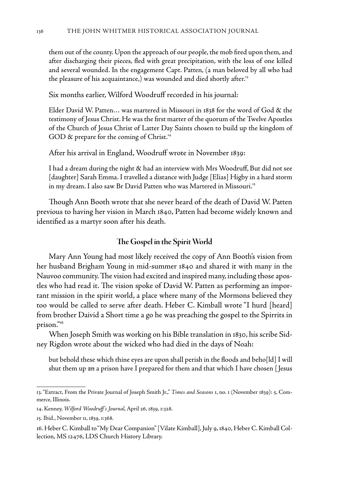them out of the county. Upon the approach of our people, the mob fired upon them, and after discharging their pieces, fled with great precipitation, with the loss of one killed and several wounded. In the engagement Capt. Patten, (a man beloved by all who had the pleasure of his acquaintance,) was wounded and died shortly after.<sup>13</sup>

Six months earlier, Wilford Woodruff recorded in his journal:

Elder David W. Patten… was martered in Missouri in 1838 for the word of God & the testimony of Jesus Christ. He was the first marter of the quorum of the Twelve Apostles of the Church of Jesus Christ of Latter Day Saints chosen to build up the kingdom of GOD & prepare for the coming of Christ.<sup>14</sup>

After his arrival in England, Woodruff wrote in November 1839:

I had a dream during the night & had an interview with Mrs Woodruff, But did not see [daughter] Sarah Emma. I travelled a distance with Judge [Elias] Higby in a hard storm in my dream. I also saw Br David Patten who was Martered in Missouri.<sup>15</sup>

Though Ann Booth wrote that she never heard of the death of David W. Patten previous to having her vision in March 1840, Patten had become widely known and identified as a martyr soon after his death.

## **The Gospel in the Spirit World**

Mary Ann Young had most likely received the copy of Ann Booth's vision from her husband Brigham Young in mid-summer 1840 and shared it with many in the Nauvoo community. The vision had excited and inspired many, including those apostles who had read it. The vision spoke of David W. Patten as performing an important mission in the spirit world, a place where many of the Mormons believed they too would be called to serve after death. Heber C. Kimball wrote "I hurd [heard] from brother Daivid a Short time a go he was preaching the gospel to the Spirrits in prison."16

When Joseph Smith was working on his Bible translation in 1830, his scribe Sidney Rigdon wrote about the wicked who had died in the days of Noah:

but behold these which thine eyes are upon shall perish in the floods and beho[ld] I will shut them up an a prison have I prepared for them and that which I have chosen [ Jesus

<sup>13. &</sup>quot;Extract, From the Private Journal of Joseph Smith Jr.," *Times and Seasons* 1, no. 1 (November 1839): 5, Commerce, Illinois.

<sup>14.</sup> Kenney, *Wilford Woodruff's Journal*, April 26, 1839, 1:328.

<sup>15.</sup> Ibid., November 11, 1839, 1:368.

<sup>16.</sup> Heber C. Kimball to "My Dear Companion" [Vilate Kimball], July 9, 1840, Heber C. Kimball Collection, MS 12476, LDS Church History Library.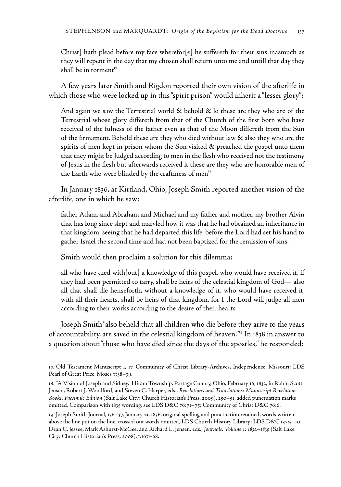Christ] hath plead before my face wherefor[e] he suffereth for their sins inasmuch as they will repent in the day that my chosen shall return unto me and untill that day they shall be in torment $17$ 

A few years later Smith and Rigdon reported their own vision of the afterlife in which those who were locked up in this "spirit prison" would inherit a "lesser glory":

And again we saw the Terrestrial world  $\&$  behold  $\&$  lo these are they who are of the Terrestrial whose glory differeth from that of the Church of the first born who have received of the fulness of the father even as that of the Moon differeth from the Sun of the firmament. Behold these are they who died without law & also they who are the spirits of men kept in prison whom the Son visited & preached the gospel unto them that they might be Judged according to men in the flesh who received not the testimony of Jesus in the flesh but afterwards received it these are they who are honorable men of the Earth who were blinded by the craftiness of men $^{\text{18}}$ 

In January 1836, at Kirtland, Ohio, Joseph Smith reported another vision of the afterlife, one in which he saw:

father Adam, and Abraham and Michael and my father and mother, my brother Alvin that has long since slept and marvled how it was that he had obtained an inheritance in that kingdom, seeing that he had departed this life, before the Lord had set his hand to gather Israel the second time and had not been baptized for the remission of sins.

Smith would then proclaim a solution for this dilemma:

all who have died with[out] a knowledge of this gospel, who would have received it, if they had been permitted to tarry, shall be heirs of the celestial kingdom of God— also all that shall die henseforth, without a knowledge of it, who would have received it, with all their hearts, shall be heirs of that kingdom, for I the Lord will judge all men according to their works according to the desire of their hearts

Joseph Smith "also beheld that all children who die before they arive to the years of accountability, are saved in the celestial kingdom of heaven."19 In 1838 in answer to a question about "those who have died since the days of the apostles," he responded:

<sup>17.</sup> Old Testament Manuscript 1, 17, Community of Christ Library-Archives, Independence, Missouri; LDS Pearl of Great Price, Moses 7:38–39.

<sup>18. &</sup>quot;A Vision of Joseph and Sidney," Hiram Township, Portage County, Ohio, February 16, 1832, in Robin Scott Jensen, Robert J. Woodford, and Steven C. Harper, eds., *Revelations and Translations: Manuscript Revelation Books, Facsimile Edition* (Salt Lake City: Church Historian's Press, 2009), 250–51, added punctuation marks omitted. Comparison with 1835 wording, see LDS D&C 76:71-75; Community of Christ D&C 76:6.

<sup>19.</sup> Joseph Smith Journal, 136–37, January 21, 1836, original spelling and punctuation retained, words written above the line put on the line, crossed out words omitted, LDS Church History Library; LDS D&C 137:5–10. Dean C. Jessee, Mark Ashurst-McGee, and Richard L. Jensen, eds., *Journals, Volume 1: 1832–1839* (Salt Lake City: Church Historian's Press, 2008), 1:167–68.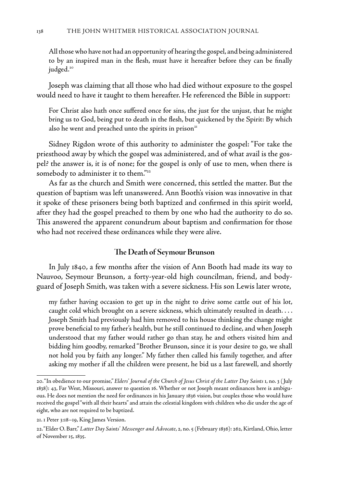All those who have not had an opportunity of hearing the gospel, and being administered to by an inspired man in the flesh, must have it hereafter before they can be finally judged.<sup>20</sup>

Joseph was claiming that all those who had died without exposure to the gospel would need to have it taught to them hereafter. He referenced the Bible in support:

For Christ also hath once suffered once for sins, the just for the unjust, that he might bring us to God, being put to death in the flesh, but quickened by the Spirit: By which also he went and preached unto the spirits in prison $21$ 

Sidney Rigdon wrote of this authority to administer the gospel: "For take the priesthood away by which the gospel was administered, and of what avail is the gospel? the answer is, it is of none; for the gospel is only of use to men, when there is somebody to administer it to them."<sup>22</sup>

As far as the church and Smith were concerned, this settled the matter. But the question of baptism was left unanswered. Ann Booth's vision was innovative in that it spoke of these prisoners being both baptized and confirmed in this spirit world, after they had the gospel preached to them by one who had the authority to do so. This answered the apparent conundrum about baptism and confirmation for those who had not received these ordinances while they were alive.

### **The Death of Seymour Brunson**

In July 1840, a few months after the vision of Ann Booth had made its way to Nauvoo, Seymour Brunson, a forty-year-old high councilman, friend, and bodyguard of Joseph Smith, was taken with a severe sickness. His son Lewis later wrote,

my father having occasion to get up in the night to drive some cattle out of his lot, caught cold which brought on a severe sickness, which ultimately resulted in death. . . . Joseph Smith had previously had him removed to his house thinking the change might prove beneficial to my father's health, but he still continued to decline, and when Joseph understood that my father would rather go than stay, he and others visited him and bidding him goodby, remarked "Brother Brunson, since it is your desire to go, we shall not hold you by faith any longer." My father then called his family together, and after asking my mother if all the children were present, he bid us a last farewell, and shortly

<sup>20. &</sup>quot;In obedience to our promise," *Elders' Journal of the Church of Jesus Christ of the Latter Day Saints* 1, no. 3 ( July 1838): 43, Far West, Missouri, answer to question 16. Whether or not Joseph meant ordinances here is ambiguous. He does not mention the need for ordinances in his January 1836 vision, but couples those who would have received the gospel "with all their hearts" and attain the celestial kingdom with children who die under the age of eight, who are not required to be baptized.

<sup>21. 1</sup> Peter 3:18–19, King James Version.

<sup>22. &</sup>quot;Elder O. Barr," *Latter Day Saints' Messenger and Advocate*, 2, no. 5 (February 1836): 262, Kirtland, Ohio, letter of November 15, 1835.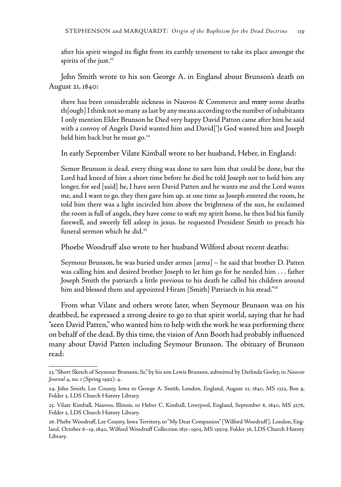after his spirit winged its flight from its earthly tenement to take its place amongst the spirits of the just.<sup>23</sup>

John Smith wrote to his son George A. in England about Brunson's death on August 21, 1840:

there has been considerable sickness in Nauvoo  $\&$  Commerce and many some deaths th[ough] I think not so many as last by any means according to the number of inhabitants I only mention Elder Brunson he Died very happy David Patton came after him he said with a convoy of Angels David wanted him and David[']s God wanted him and Joseph held him back but he must go.<sup>24</sup>

In early September Vilate Kimball wrote to her husband, Heber, in England:

Semor Brunson is dead. every thing was done to save him that could be done, but the Lord had kneed of him a short time before he died he told Joseph not to hold him any longer, for sed [said] he, I have seen David Patten and he wants me and the Lord wants me, and I want to go. they then gave him up. at one time as Joseph entered the room, he told him there was a light incircled him above the brightness of the sun, he exclaimed the room is full of angels, they have come to waft my spirit home, he then bid his family farewell, and sweetly fell asleep in jesus. he requested President Smith to preach his funeral sermon which he did.<sup>25</sup>

Phoebe Woodruff also wrote to her husband Wilford about recent deaths:

Seymour Brunson, he was buried under armes [arms] – he said that brother D. Patten was calling him and desired brother Joseph to let him go for he needed him . . . father Joseph Smith the patriarch a little previous to his death he called his children around him and blessed them and appointed Hiram [Smith] Patriarch in his stead."<sup>26</sup>

From what Vilate and others wrote later, when Seymour Brunson was on his deathbed, he expressed a strong desire to go to that spirit world, saying that he had "seen David Patten," who wanted him to help with the work he was performing there on behalf of the dead. By this time, the vision of Ann Booth had probably influenced many about David Patten including Seymour Brunson. The obituary of Brunson read:

<sup>23. &</sup>quot;Short Sketch of Seymour Brunson, Sr," by his son Lewis Brunson, submitted by Darlinda Gorley, in *Nauvoo Journal* 4, no. 1 (Spring 1992): 4.

<sup>24.</sup> John Smith, Lee County, Iowa to George A. Smith, London, England, August 21, 1840, MS 1322, Box 9, Folder 2, LDS Church History Library.

<sup>25.</sup> Vilate Kimball, Nauvoo, Illinois, to Heber C. Kimball, Liverpool, England, September 6, 1840, MS 3276, Folder 2, LDS Church History Library.

<sup>26.</sup> Phebe Woodruff, Lee County, Iowa Territory, to "My Dear Companion" [Wilford Woodruff ], London, England, October 6–19, 1840, Wilford Woodruff Collection 1831–1905, MS 19509, Folder 36, LDS Church History Library.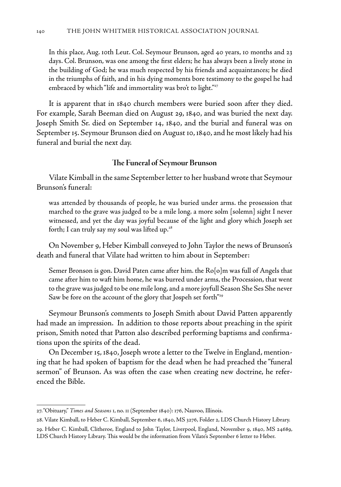In this place, Aug. 10th Leut. Col. Seymour Brunson, aged 40 years, 10 months and 23 days. Col. Brunson, was one among the first elders; he has always been a lively stone in the building of God; he was much respected by his friends and acquaintances; he died in the triumphs of faith, and in his dying moments bore testimony to the gospel he had embraced by which "life and immortality was bro't to light."<sup>27</sup>

It is apparent that in 1840 church members were buried soon after they died. For example, Sarah Beeman died on August 29, 1840, and was buried the next day. Joseph Smith Sr. died on September 14, 1840, and the burial and funeral was on September 15. Seymour Brunson died on August 10, 1840, and he most likely had his funeral and burial the next day.

#### **The Funeral of Seymour Brunson**

Vilate Kimball in the same September letter to her husband wrote that Seymour Brunson's funeral:

was attended by thousands of people, he was buried under arms. the prosession that marched to the grave was judged to be a mile long. a more solm [solemn] sight I never witnessed, and yet the day was joyful because of the light and glory which Joseph set forth; I can truly say my soul was lifted up. $28$ 

On November 9, Heber Kimball conveyed to John Taylor the news of Brunson's death and funeral that Vilate had written to him about in September:

Semer Bronson is gon. David Paten came after him. the Ro[o]m was full of Angels that came after him to waft him home, he was burred under arms, the Procession, that went to the grave was judged to be one mile long, and a more joyfull Season She Ses She never Saw be fore on the account of the glory that Jospeh set forth"<sup>29</sup>

Seymour Brunson's comments to Joseph Smith about David Patten apparently had made an impression. In addition to those reports about preaching in the spirit prison, Smith noted that Patton also described performing baptisms and confirmations upon the spirits of the dead.

On December 15, 1840, Joseph wrote a letter to the Twelve in England, mentioning that he had spoken of baptism for the dead when he had preached the "funeral sermon" of Brunson. As was often the case when creating new doctrine, he referenced the Bible.

<sup>27. &</sup>quot;Obituary," *Times and Seasons* 1, no. 11 (September 1840): 176, Nauvoo, Illinois.

<sup>28.</sup> Vilate Kimball, to Heber C. Kimball, September 6, 1840, MS 3276, Folder 2, LDS Church History Library.

<sup>29.</sup> Heber C. Kimball, Clitheroe, England to John Taylor, Liverpool, England, November 9, 1840, MS 24689, LDS Church History Library. This would be the information from Vilate's September 6 letter to Heber.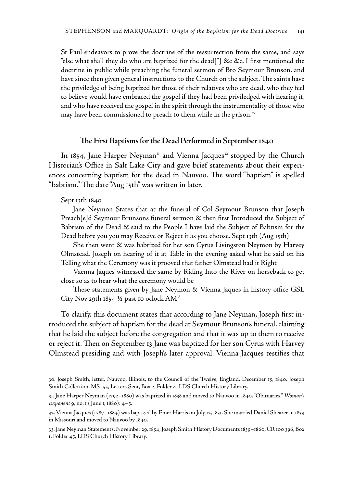St Paul endeavors to prove the doctrine of the ressurrection from the same, and says "else what shall they do who are baptized for the dead["] &c &c. I first mentioned the doctrine in public while preaching the funeral sermon of Bro Seymour Brunson, and have since then given general instructions to the Church on the subject. The saints have the priviledge of being baptized for those of their relatives who are dead, who they feel to believe would have embraced the gospel if they had been priviledged with hearing it, and who have received the gospel in the spirit through the instrumentality of those who may have been commissioned to preach to them while in the prison.<sup>30</sup>

## **The First Baptisms for the Dead Performed in September 1840**

In 1854, Jane Harper Neyman<sup>31</sup> and Vienna Jacques<sup>32</sup> stopped by the Church Historian's Office in Salt Lake City and gave brief statements about their experiences concerning baptism for the dead in Nauvoo. The word "baptism" is spelled "babtism." The date "Aug 15th" was written in later.

#### Sept 13th 1840

Jane Neymon States that at the funeral of Col Seymour Brunson that Joseph Preach[e]d Seymour Brunsons funeral sermon & then first Introduced the Subject of Babtism of the Dead & said to the People I have laid the Subject of Babtism for the Dead before you you may Receive or Reject it as you choose. Sept 13th (Aug 15th)

 She then went & was babtized for her son Cyrus Livingston Neymon by Harvey Olmstead. Joseph on hearing of it at Table in the evening asked what he said on his Telling what the Ceremony was it prooved that father Olmstead had it Right

 Vaenna Jaques witnessed the same by Riding Into the River on horseback to get close so as to hear what the ceremony would be

 These statements given by Jane Neymon & Vienna Jaques in history office GSL City Nov 29th 1854 ½ past 10 oclock AM33

To clarify, this document states that according to Jane Neyman, Joseph first introduced the subject of baptism for the dead at Seymour Brunson's funeral, claiming that he laid the subject before the congregation and that it was up to them to receive or reject it. Then on September 13 Jane was baptized for her son Cyrus with Harvey Olmstead presiding and with Joseph's later approval. Vienna Jacques testifies that

<sup>30.</sup> Joseph Smith, letter, Nauvoo, Illinois, to the Council of the Twelve, England, December 15, 1840, Joseph Smith Collection, MS 155, Letters Sent, Box 2, Folder 4, LDS Church History Library.

<sup>31.</sup> Jane Harper Neyman (1792–1880) was baptized in 1838 and moved to Nauvoo in 1840. "Obituaries," *Woman's Exponent* 9, no. 1 ( June 1, 1880): 4–5.

<sup>32.</sup> Vienna Jacques (1787–1884) was baptized by Emer Harris on July 12, 1831. She married Daniel Shearer in 1839 in Missouri and moved to Nauvoo by 1840.

<sup>33.</sup> Jane Neyman Statements, November 29, 1854, Joseph Smith History Documents 1839–1860, CR 100 396, Box 1, Folder 45, LDS Church History Library.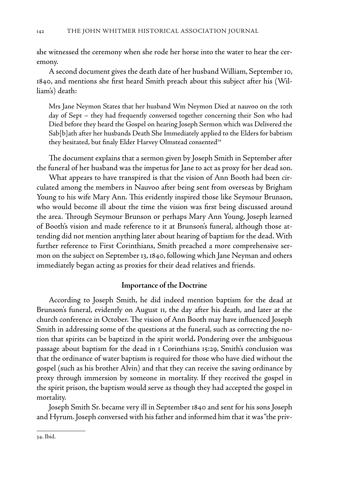she witnessed the ceremony when she rode her horse into the water to hear the ceremony.

A second document gives the death date of her husband William, September 10, 1840, and mentions she first heard Smith preach about this subject after his (William's) death:

Mrs Jane Neymon States that her husband Wm Neymon Died at nauvoo on the 10th day of Sept – they had frequently conversed together concerning their Son who had Died before they heard the Gospel on hearing Joseph Sermon which was Delivered the Sab[b]ath after her husbands Death She Immediately applied to the Elders for babtism they hesitated, but finaly Elder Harvey Olmstead consented<sup>34</sup>

The document explains that a sermon given by Joseph Smith in September after the funeral of her husband was the impetus for Jane to act as proxy for her dead son.

What appears to have transpired is that the vision of Ann Booth had been circulated among the members in Nauvoo after being sent from overseas by Brigham Young to his wife Mary Ann. This evidently inspired those like Seymour Brunson, who would become ill about the time the vision was first being discussed around the area. Through Seymour Brunson or perhaps Mary Ann Young, Joseph learned of Booth's vision and made reference to it at Brunson's funeral, although those attending did not mention anything later about hearing of baptism for the dead. With further reference to First Corinthians, Smith preached a more comprehensive sermon on the subject on September 13, 1840, following which Jane Neyman and others immediately began acting as proxies for their dead relatives and friends.

#### **Importance of the Doctrine**

According to Joseph Smith, he did indeed mention baptism for the dead at Brunson's funeral, evidently on August 11, the day after his death, and later at the church conference in October. The vision of Ann Booth may have influenced Joseph Smith in addressing some of the questions at the funeral, such as correcting the notion that spirits can be baptized in the spirit world**.** Pondering over the ambiguous passage about baptism for the dead in 1 Corinthians 15:29, Smith's conclusion was that the ordinance of water baptism is required for those who have died without the gospel (such as his brother Alvin) and that they can receive the saving ordinance by proxy through immersion by someone in mortality. If they received the gospel in the spirit prison, the baptism would serve as though they had accepted the gospel in mortality.

Joseph Smith Sr. became very ill in September 1840 and sent for his sons Joseph and Hyrum. Joseph conversed with his father and informed him that it was "the priv-

<sup>34.</sup> Ibid.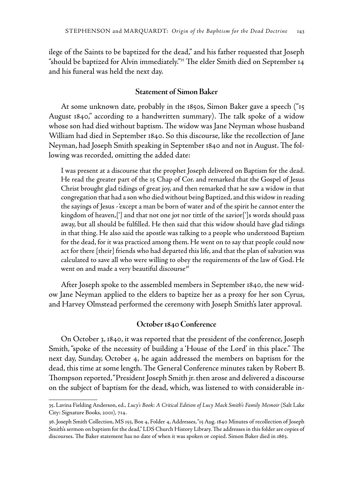ilege of the Saints to be baptized for the dead," and his father requested that Joseph "should be baptized for Alvin immediately."35 The elder Smith died on September 14 and his funeral was held the next day.

# **Statement of Simon Baker**

At some unknown date, probably in the 1850s, Simon Baker gave a speech ("15 August 1840," according to a handwritten summary). The talk spoke of a widow whose son had died without baptism. The widow was Jane Neyman whose husband William had died in September 1840. So this discourse, like the recollection of Jane Neyman, had Joseph Smith speaking in September 1840 and not in August. The following was recorded, omitting the added date:

I was present at a discourse that the prophet Joseph delivered on Baptism for the dead. He read the greater part of the 15 Chap of Cor. and remarked that the Gospel of Jesus Christ brought glad tidings of great joy, and then remarked that he saw a widow in that congregation that had a son who died without being Baptized, and this widow in reading the sayings of Jesus - 'except a man be born of water and of the spirit he cannot enter the kingdom of heaven,['] and that not one jot nor tittle of the savior[']s words should pass away, but all should be fulfilled. He then said that this widow should have glad tidings in that thing. He also said the apostle was talking to a people who understood Baptism for the dead, for it was practiced among them. He went on to say that people could now act for there [their] friends who had departed this life, and that the plan of salvation was calculated to save all who were willing to obey the requirements of the law of God. He went on and made a very beautiful discourse<sup>36</sup>

After Joseph spoke to the assembled members in September 1840, the new widow Jane Neyman applied to the elders to baptize her as a proxy for her son Cyrus, and Harvey Olmstead performed the ceremony with Joseph Smith's later approval.

# **October 1840 Conference**

On October 3, 1840, it was reported that the president of the conference, Joseph Smith, "spoke of the necessity of building a 'House of the Lord' in this place." The next day, Sunday, October 4, he again addressed the members on baptism for the dead, this time at some length. The General Conference minutes taken by Robert B. Thompson reported, "President Joseph Smith jr. then arose and delivered a discourse on the subject of baptism for the dead, which, was listened to with considerable in-

<sup>35.</sup> Lavina Fielding Anderson, ed*., Lucy's Book: A Critical Edition of Lucy Mack Smith's Family Memoir* (Salt Lake City: Signature Books, 2001), 714.

<sup>36.</sup> Joseph Smith Collection, MS 155, Box 4, Folder 4, Addresses, "15 Aug. 1840 Minutes of recollection of Joseph Smith's sermon on baptism for the dead," LDS Church History Library. The addresses in this folder are copies of discourses. The Baker statement has no date of when it was spoken or copied. Simon Baker died in 1863.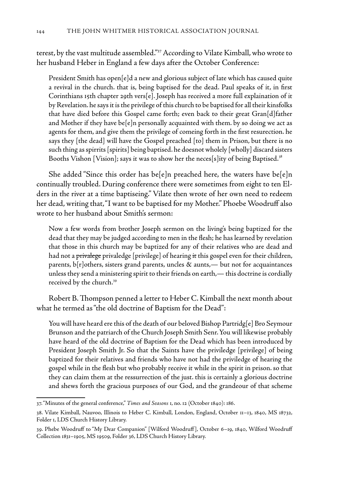terest, by the vast multitude assembled."37 According to Vilate Kimball, who wrote to her husband Heber in England a few days after the October Conference:

President Smith has open[e]d a new and glorious subject of late which has caused quite a revival in the church. that is, being baptised for the dead. Paul speaks of it, in first Corinthians 15th chapter 29th vers[e]. Joseph has received a more full explaination of it by Revelation. he says it is the privilege of this church to be baptised for all their kinsfolks that have died before this Gospel came forth; even back to their great Gran[d]father and Mother if they have be[e]n personally acquainted with them. by so doing we act as agents for them, and give them the privilege of comeing forth in the first resurection. he says they [the dead] will have the Gospel preached [to] them in Prison, but there is no such thing as spirrits [spirits] being baptised. he doesnot wholely [wholly] discard sisters Booths Vishon [Vision]; says it was to show her the neces[s]ity of being Baptised.<sup>38</sup>

She added "Since this order has be[e]n preached here, the waters have be[e]n continually troubled. During conference there were sometimes from eight to ten Elders in the river at a time baptiseing." Vilate then wrote of her own need to redeem her dead, writing that, "I want to be baptised for my Mother." Phoebe Woodruff also wrote to her husband about Smith's sermon:

Now a few words from brother Joseph sermon on the living's being baptized for the dead that they may be judged according to men in the flesh; he has learned by revelation that those in this church may be baptized for any of their relatives who are dead and had not a privalege privaledge [privilege] of hearing it this gospel even for their children, parents,  $b[r]$ others, sisters grand parents, uncles  $\&$  aunts,— but not for acquaintances unless they send a ministering spirit to their friends on earth,— this doctrine is cordially received by the church.39

Robert B. Thompson penned a letter to Heber C. Kimball the next month about what he termed as "the old doctrine of Baptism for the Dead":

You will have heard ere this of the death of our beloved Bishop Partridg[e] Bro Seymour Brunson and the patriarch of the Church Joseph Smith Senr. You will likewise probably have heard of the old doctrine of Baptism for the Dead which has been introduced by President Joseph Smith Jr. So that the Saints have the priviledge [privilege] of being baptized for their relatives and friends who have not had the priviledge of hearing the gospel while in the flesh but who probably receive it while in the spirit in prison. so that they can claim them at the ressurrection of the just. this is certainly a glorious doctrine and shews forth the gracious purposes of our God, and the grandeour of that scheme

<sup>37. &</sup>quot;Minutes of the general conference," *Times and Seasons* 1, no. 12 (October 1840): 186.

<sup>38.</sup> Vilate Kimball, Nauvoo, Illinois to Heber C. Kimball, London, England, October 11–13, 1840, MS 18732, Folder 1, LDS Church History Library.

<sup>39.</sup> Phebe Woodruff to "My Dear Companion" [Wilford Woodruff ], October 6–19, 1840, Wilford Woodruff Collection 1831–1905, MS 19509, Folder 36, LDS Church History Library.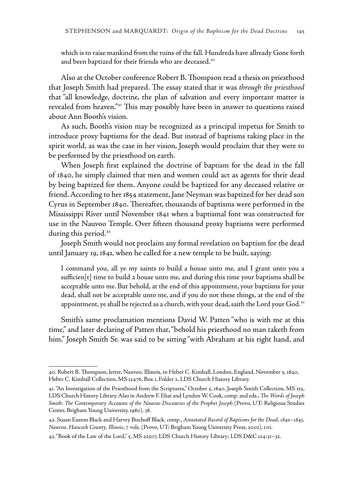which is to raise mankind from the ruins of the fall. Hundreds have allready Gone forth and been baptized for their friends who are deceased.<sup>40</sup>

Also at the October conference Robert B. Thompson read a thesis on priesthood that Joseph Smith had prepared. The essay stated that it was *through the priesthood*  that "all knowledge, doctrine, the plan of salvation and every important matter is revealed from heaven."41 This may possibly have been in answer to questions raised about Ann Booth's vision.

As such, Booth's vision may be recognized as a principal impetus for Smith to introduce proxy baptisms for the dead. But instead of baptisms taking place in the spirit world, as was the case in her vision, Joseph would proclaim that they were to be performed by the priesthood on earth.

When Joseph first explained the doctrine of baptism for the dead in the fall of 1840, he simply claimed that men and women could act as agents for their dead by being baptized for them. Anyone could be baptized for any deceased relative or friend. According to her 1854 statement, Jane Neyman was baptized for her dead son Cyrus in September 1840. Thereafter, thousands of baptisms were performed in the Mississippi River until November 1841 when a baptismal font was constructed for use in the Nauvoo Temple. Over fifteen thousand proxy baptisms were performed during this period.<sup>42</sup>

Joseph Smith would not proclaim any formal revelation on baptism for the dead until January 19, 1841, when he called for a new temple to be built, saying:

I command you, all ye my saints to build a house unto me, and I grant unto you a  $sufficient[t]$  time to build a house unto me, and during this time your baptisms shall be acceptable unto me. But behold, at the end of this appointment, your baptisms for your dead, shall not be acceptable unto me, and if you do not these things, at the end of the appointment, ye shall be rejected as a church, with your dead, saith the Lord your God.<sup>43</sup>

Smith's same proclamation mentions David W. Patten "who is with me at this time," and later declaring of Patten that, "behold his priesthood no man taketh from him." Joseph Smith Sr. was said to be sitting "with Abraham at his right hand, and

<sup>40.</sup> Robert B. Thompson, letter, Nauvoo, Illinois, to Heber C. Kimball, London, England, November 5, 1840, Heber C. Kimball Collection, MS 12476, Box 1, Folder 2, LDS Church History Library.

<sup>41. &</sup>quot;An Investigation of the Priesthood from the Scriptures," October 5, 1840, Joseph Smith Collection, MS 155, LDS Church History Library. Also in Andrew F. Ehat and Lyndon W. Cook, comp. and eds., *The Words of Joseph Smith: The Contemporary Accounts of the Nauvoo Discourses of the Prophet Joseph* (Provo, UT: Religious Studies Center, Brigham Young University, 1980), 38.

<sup>42.</sup> Susan Easton Black and Harvey Bischoff Black, comp., *Annotated Record of Baptisms for the Dead, 1840–1845, Nauvoo, Hancock County, Illinois*, 7 vols. (Provo, UT: Brigham Young University Press, 2002), 1:vi.

<sup>43. &</sup>quot;Book of the Law of the Lord," 5, MS 22507, LDS Church History Library; LDS D&C 124:31–32.